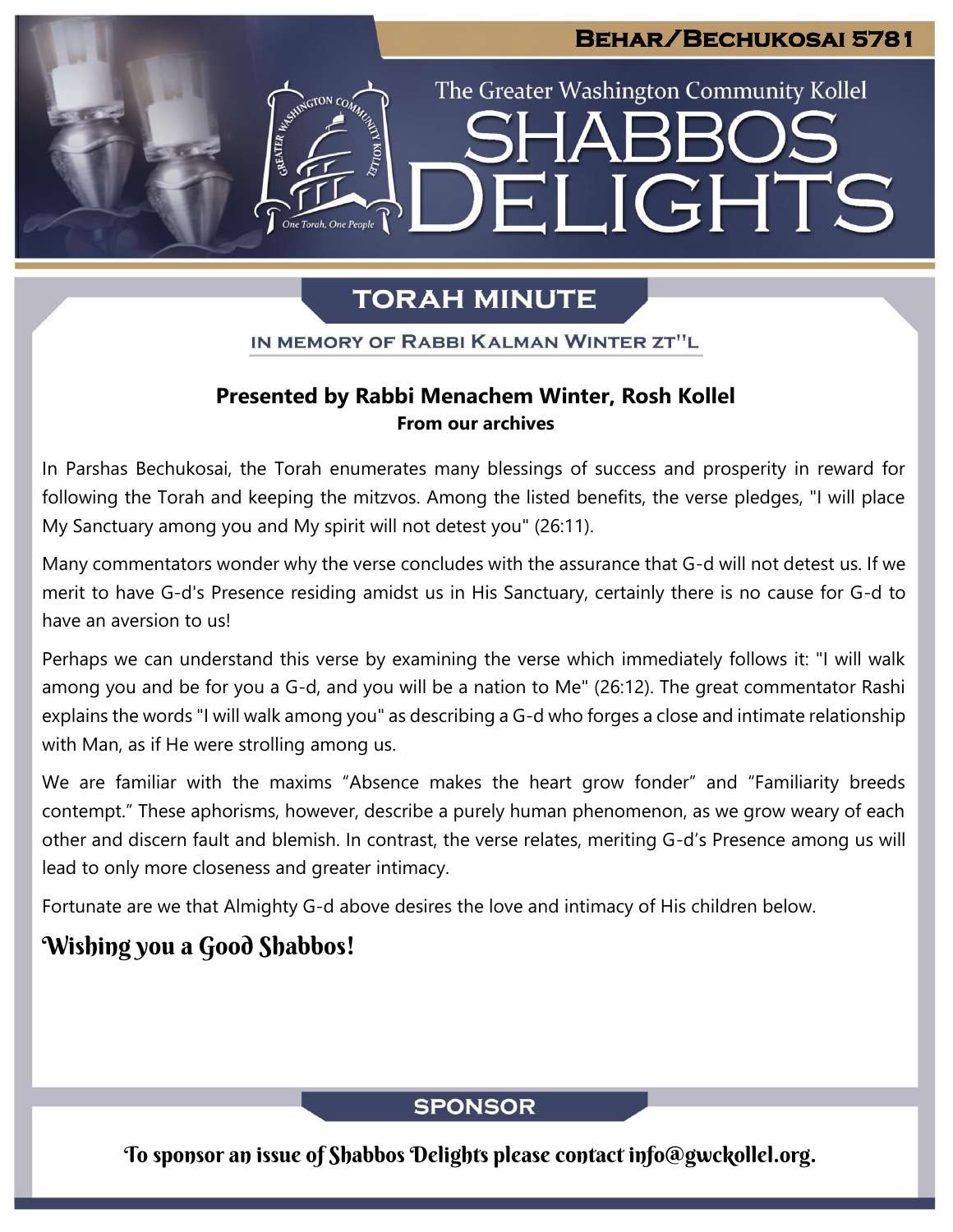# **Behar/Bechukosai 5781**

The Greater Washington Community Kollel

ELIGHTS

# **TORAH MINUTE**

IN MEMORY OF RABBI KALMAN WINTER ZT"L

# **Presented by Rabbi Menachem Winter, Rosh Kollel From our archives**

In Parshas Bechukosai, the Torah enumerates many blessings of success and prosperity in reward for following the Torah and keeping the mitzvos. Among the listed benefits, the verse pledges, "I will place My Sanctuary among you and My spirit will not detest you" (26:11).

Many commentators wonder why the verse concludes with the assurance that G-d will not detest us. If we merit to have G-d's Presence residing amidst us in His Sanctuary, certainly there is no cause for G-d to have an aversion to us!

Perhaps we can understand this verse by examining the verse which immediately follows it: "I will walk among you and be for you a G-d, and you will be a nation to Me" (26:12). The great commentator Rashi explains the words "I will walk among you" as describing a G-d who forges a close and intimate relationship with Man, as if He were strolling among us.

We are familiar with the maxims "Absence makes the heart grow fonder" and "Familiarity breeds contempt." These aphorisms, however, describe a purely human phenomenon, as we grow weary of each other and discern fault and blemish. In contrast, the verse relates, meriting G-d's Presence among us will lead to only more closeness and greater intimacy.

Fortunate are we that Almighty G-d above desires the love and intimacy of His children below.

# Wishing you a Good Shabbos!

# **SPONSOR**

To sponsor an issue of Shabbos Delights please contact info@gwckollel.org.